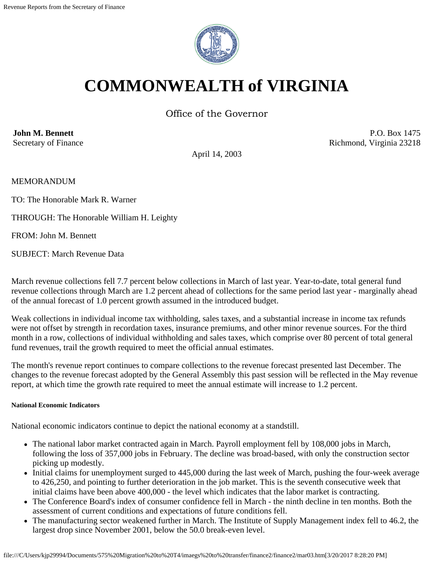

# **COMMONWEALTH of VIRGINIA**

Office of the Governor

**John M. Bennett** Secretary of Finance

P.O. Box 1475 Richmond, Virginia 23218

April 14, 2003

MEMORANDUM

TO: The Honorable Mark R. Warner

THROUGH: The Honorable William H. Leighty

FROM: John M. Bennett

SUBJECT: March Revenue Data

March revenue collections fell 7.7 percent below collections in March of last year. Year-to-date, total general fund revenue collections through March are 1.2 percent ahead of collections for the same period last year - marginally ahead of the annual forecast of 1.0 percent growth assumed in the introduced budget.

Weak collections in individual income tax withholding, sales taxes, and a substantial increase in income tax refunds were not offset by strength in recordation taxes, insurance premiums, and other minor revenue sources. For the third month in a row, collections of individual withholding and sales taxes, which comprise over 80 percent of total general fund revenues, trail the growth required to meet the official annual estimates.

The month's revenue report continues to compare collections to the revenue forecast presented last December. The changes to the revenue forecast adopted by the General Assembly this past session will be reflected in the May revenue report, at which time the growth rate required to meet the annual estimate will increase to 1.2 percent.

### **National Economic Indicators**

National economic indicators continue to depict the national economy at a standstill.

- The national labor market contracted again in March. Payroll employment fell by 108,000 jobs in March, following the loss of 357,000 jobs in February. The decline was broad-based, with only the construction sector picking up modestly.
- Initial claims for unemployment surged to 445,000 during the last week of March, pushing the four-week average to 426,250, and pointing to further deterioration in the job market. This is the seventh consecutive week that initial claims have been above 400,000 - the level which indicates that the labor market is contracting.
- The Conference Board's index of consumer confidence fell in March the ninth decline in ten months. Both the assessment of current conditions and expectations of future conditions fell.
- The manufacturing sector weakened further in March. The Institute of Supply Management index fell to 46.2, the largest drop since November 2001, below the 50.0 break-even level.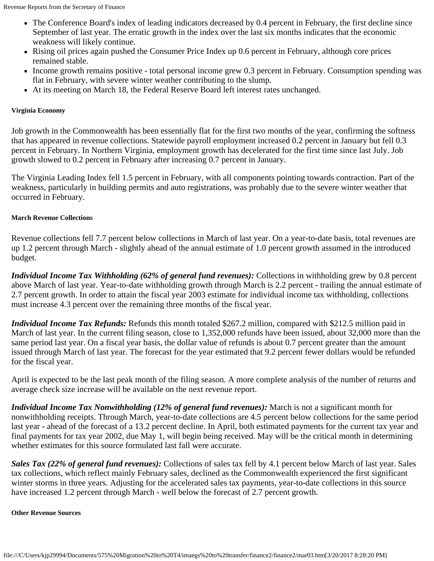- The Conference Board's index of leading indicators decreased by 0.4 percent in February, the first decline since September of last year. The erratic growth in the index over the last six months indicates that the economic weakness will likely continue.
- Rising oil prices again pushed the Consumer Price Index up 0.6 percent in February, although core prices remained stable.
- Income growth remains positive total personal income grew 0.3 percent in February. Consumption spending was flat in February, with severe winter weather contributing to the slump.
- At its meeting on March 18, the Federal Reserve Board left interest rates unchanged.

# **Virginia Economy**

Job growth in the Commonwealth has been essentially flat for the first two months of the year, confirming the softness that has appeared in revenue collections. Statewide payroll employment increased 0.2 percent in January but fell 0.3 percent in February. In Northern Virginia, employment growth has decelerated for the first time since last July. Job growth slowed to 0.2 percent in February after increasing 0.7 percent in January.

The Virginia Leading Index fell 1.5 percent in February, with all components pointing towards contraction. Part of the weakness, particularly in building permits and auto registrations, was probably due to the severe winter weather that occurred in February.

# **March Revenue Collections**

Revenue collections fell 7.7 percent below collections in March of last year. On a year-to-date basis, total revenues are up 1.2 percent through March - slightly ahead of the annual estimate of 1.0 percent growth assumed in the introduced budget.

*Individual Income Tax Withholding (62% of general fund revenues):* Collections in withholding grew by 0.8 percent above March of last year. Year-to-date withholding growth through March is 2.2 percent - trailing the annual estimate of 2.7 percent growth. In order to attain the fiscal year 2003 estimate for individual income tax withholding, collections must increase 4.3 percent over the remaining three months of the fiscal year.

*Individual Income Tax Refunds:* Refunds this month totaled \$267.2 million, compared with \$212.5 million paid in March of last year. In the current filing season, close to 1,352,000 refunds have been issued, about 32,000 more than the same period last year. On a fiscal year basis, the dollar value of refunds is about 0.7 percent greater than the amount issued through March of last year. The forecast for the year estimated that 9.2 percent fewer dollars would be refunded for the fiscal year.

April is expected to be the last peak month of the filing season. A more complete analysis of the number of returns and average check size increase will be available on the next revenue report.

*Individual Income Tax Nonwithholding (12% of general fund revenues):* March is not a significant month for nonwithholding receipts. Through March, year-to-date collections are 4.5 percent below collections for the same period last year - ahead of the forecast of a 13.2 percent decline. In April, both estimated payments for the current tax year and final payments for tax year 2002, due May 1, will begin being received. May will be the critical month in determining whether estimates for this source formulated last fall were accurate.

*Sales Tax (22% of general fund revenues):* Collections of sales tax fell by 4.1 percent below March of last year. Sales tax collections, which reflect mainly February sales, declined as the Commonwealth experienced the first significant winter storms in three years. Adjusting for the accelerated sales tax payments, year-to-date collections in this source have increased 1.2 percent through March - well below the forecast of 2.7 percent growth.

**Other Revenue Sources**